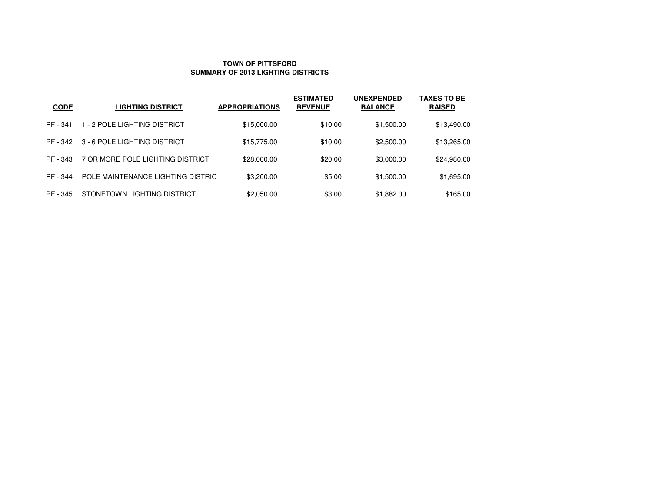### **SUMMARY OF 2013 LIGHTING DISTRICTSTOWN OF PITTSFORD**

| <b>CODE</b> | <b>LIGHTING DISTRICT</b>          | <b>APPROPRIATIONS</b> | <b>ESTIMATED</b><br><b>REVENUE</b> | <b>UNEXPENDED</b><br><b>BALANCE</b> | <b>TAXES TO BE</b><br><b>RAISED</b> |
|-------------|-----------------------------------|-----------------------|------------------------------------|-------------------------------------|-------------------------------------|
| PF - 341    | 1 - 2 POLE LIGHTING DISTRICT      | \$15,000.00           | \$10.00                            | \$1,500.00                          | \$13,490.00                         |
| PF - 342    | 3 - 6 POLE LIGHTING DISTRICT      | \$15,775.00           | \$10.00                            | \$2,500.00                          | \$13,265.00                         |
| PF - 343    | 7 OR MORE POLE LIGHTING DISTRICT  | \$28,000.00           | \$20.00                            | \$3,000.00                          | \$24,980.00                         |
| PF - 344    | POLE MAINTENANCE LIGHTING DISTRIC | \$3,200.00            | \$5.00                             | \$1,500.00                          | \$1,695.00                          |
| PF - 345    | STONETOWN LIGHTING DISTRICT       | \$2,050.00            | \$3.00                             | \$1,882.00                          | \$165.00                            |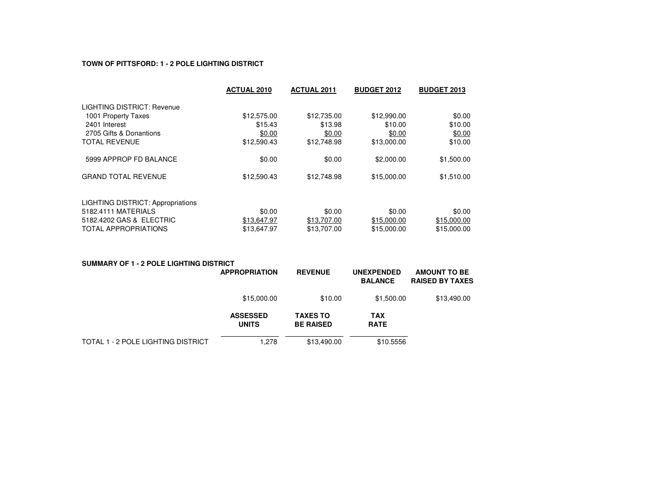# **TOWN OF PITTSFORD: 1 - 2 POLE LIGHTING DISTRICT**

|                                          | <b>ACTUAL 2010</b> | <b>ACTUAL 2011</b> | <b>BUDGET 2012</b> | <b>BUDGET 2013</b> |  |
|------------------------------------------|--------------------|--------------------|--------------------|--------------------|--|
| LIGHTING DISTRICT: Revenue               |                    |                    |                    |                    |  |
| 1001 Property Taxes                      | \$12,575.00        | \$12,735.00        | \$12,990.00        | \$0.00             |  |
| 2401 Interest                            | \$15.43            | \$13.98            | \$10.00            | \$10.00            |  |
| 2705 Gifts & Donantions                  | \$0.00             | \$0.00             | \$0.00             | \$0.00             |  |
| <b>TOTAL REVENUE</b>                     | \$12,590.43        | \$12,748.98        | \$13,000.00        | \$10.00            |  |
| 5999 APPROP FD BALANCE                   | \$0.00             | \$0.00             | \$2,000.00         | \$1,500.00         |  |
| <b>GRAND TOTAL REVENUE</b>               | \$12,590.43        | \$12,748.98        | \$15,000.00        | \$1,510.00         |  |
| <b>LIGHTING DISTRICT: Appropriations</b> |                    |                    |                    |                    |  |
| 5182.4111 MATERIALS                      | \$0.00             | \$0.00             | \$0.00             | \$0.00             |  |
| 5182.4202 GAS & ELECTRIC                 | \$13,647.97        | \$13,707.00        | \$15,000.00        | \$15,000.00        |  |
| <b>TOTAL APPROPRIATIONS</b>              | \$13.647.97        | \$13,707.00        | \$15,000.00        | \$15,000.00        |  |

| <b>SUMMARY OF 1 - 2 POLE LIGHTING DISTRICT</b> |                                 |                                     |                                     |                                               |
|------------------------------------------------|---------------------------------|-------------------------------------|-------------------------------------|-----------------------------------------------|
|                                                | <b>APPROPRIATION</b>            | <b>REVENUE</b>                      | <b>UNEXPENDED</b><br><b>BALANCE</b> | <b>AMOUNT TO BE</b><br><b>RAISED BY TAXES</b> |
|                                                | \$15,000.00                     | \$10.00                             | \$1,500.00                          | \$13,490.00                                   |
|                                                | <b>ASSESSED</b><br><b>UNITS</b> | <b>TAXES TO</b><br><b>BE RAISED</b> | <b>TAX</b><br><b>RATE</b>           |                                               |
| TOTAL 1 - 2 POLE LIGHTING DISTRICT             | .278                            | \$13,490.00                         | \$10,5556                           |                                               |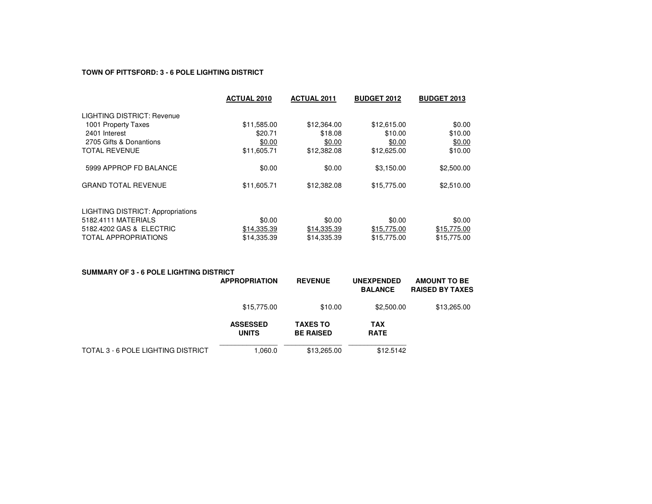## **TOWN OF PITTSFORD: 3 - 6 POLE LIGHTING DISTRICT**

|                                          | <b>ACTUAL 2010</b> | <b>ACTUAL 2011</b> | <b>BUDGET 2012</b> | <b>BUDGET 2013</b> |
|------------------------------------------|--------------------|--------------------|--------------------|--------------------|
| LIGHTING DISTRICT: Revenue               |                    |                    |                    |                    |
| 1001 Property Taxes                      | \$11,585.00        | \$12,364.00        | \$12,615.00        | \$0.00             |
| 2401 Interest                            | \$20.71            | \$18.08            | \$10.00            | \$10.00            |
| 2705 Gifts & Donantions                  | \$0.00             | \$0.00             | \$0.00             | \$0.00             |
| <b>TOTAL REVENUE</b>                     | \$11,605.71        | \$12,382.08        | \$12,625.00        | \$10.00            |
| 5999 APPROP FD BALANCE                   | \$0.00             | \$0.00             | \$3.150.00         | \$2,500.00         |
| <b>GRAND TOTAL REVENUE</b>               | \$11,605.71        | \$12,382.08        | \$15,775.00        | \$2,510.00         |
| <b>LIGHTING DISTRICT: Appropriations</b> |                    |                    |                    |                    |
| 5182.4111 MATERIALS                      | \$0.00             | \$0.00             | \$0.00             | \$0.00             |
| 5182.4202 GAS & ELECTRIC                 | \$14,335.39        | \$14,335.39        | \$15,775.00        | \$15,775.00        |
| <b>TOTAL APPROPRIATIONS</b>              | \$14,335.39        | \$14,335.39        | \$15,775.00        | \$15,775.00        |

| SUMMARY OF 3 - 6 POLE LIGHTING DISTRICT | <b>APPROPRIATION</b>            | <b>REVENUE</b>                      | <b>UNEXPENDED</b><br><b>BALANCE</b> | <b>AMOUNT TO BE</b><br><b>RAISED BY TAXES</b> |  |
|-----------------------------------------|---------------------------------|-------------------------------------|-------------------------------------|-----------------------------------------------|--|
|                                         | \$15,775.00                     | \$10.00                             | \$2,500.00                          | \$13,265.00                                   |  |
|                                         | <b>ASSESSED</b><br><b>UNITS</b> | <b>TAXES TO</b><br><b>BE RAISED</b> | <b>TAX</b><br><b>RATE</b>           |                                               |  |
| TOTAL 3 - 6 POLE LIGHTING DISTRICT      | 1,060.0                         | \$13,265.00                         | \$12,5142                           |                                               |  |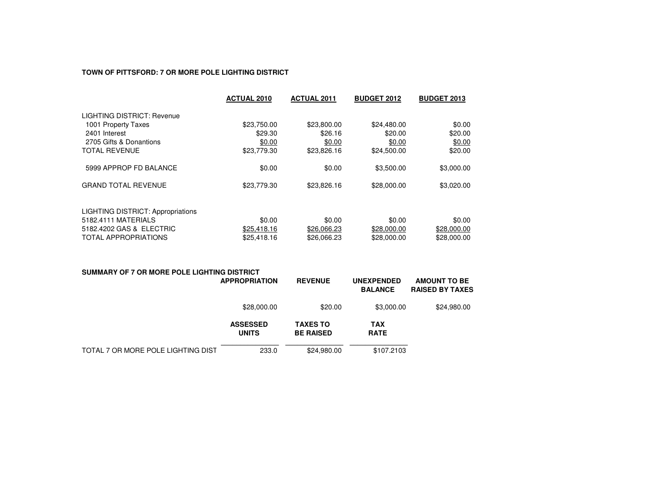## **TOWN OF PITTSFORD: 7 OR MORE POLE LIGHTING DISTRICT**

|                                          | <b>ACTUAL 2010</b> | <b>ACTUAL 2011</b> | <b>BUDGET 2012</b> | <b>BUDGET 2013</b> |
|------------------------------------------|--------------------|--------------------|--------------------|--------------------|
| LIGHTING DISTRICT: Revenue               |                    |                    |                    |                    |
| 1001 Property Taxes                      | \$23,750.00        | \$23,800.00        | \$24,480.00        | \$0.00             |
| 2401 Interest                            | \$29.30            | \$26.16            | \$20.00            | \$20.00            |
| 2705 Gifts & Donantions                  | \$0.00             | \$0.00             | \$0.00             | \$0.00             |
| <b>TOTAL REVENUE</b>                     | \$23,779.30        | \$23,826.16        | \$24,500.00        | \$20.00            |
| 5999 APPROP FD BALANCE                   | \$0.00             | \$0.00             | \$3,500.00         | \$3,000.00         |
| <b>GRAND TOTAL REVENUE</b>               | \$23,779.30        | \$23,826.16        | \$28,000.00        | \$3,020.00         |
| <b>LIGHTING DISTRICT: Appropriations</b> |                    |                    |                    |                    |
| 5182.4111 MATERIALS                      | \$0.00             | \$0.00             | \$0.00             | \$0.00             |
| 5182.4202 GAS & ELECTRIC                 | \$25,418.16        | \$26,066.23        | \$28,000.00        | \$28,000.00        |
| <b>TOTAL APPROPRIATIONS</b>              | \$25,418.16        | \$26,066.23        | \$28,000.00        | \$28,000.00        |

| SUMMARY OF 7 OR MORE POLE LIGHTING DISTRICT | <b>APPROPRIATION</b>            | <b>REVENUE</b>               | <b>UNEXPENDED</b><br><b>BALANCE</b> | <b>AMOUNT TO BE</b><br><b>RAISED BY TAXES</b> |  |
|---------------------------------------------|---------------------------------|------------------------------|-------------------------------------|-----------------------------------------------|--|
|                                             | \$28,000.00                     | \$20.00                      | \$3,000.00                          | \$24,980.00                                   |  |
|                                             | <b>ASSESSED</b><br><b>UNITS</b> | TAXES TO<br><b>BE RAISED</b> | <b>TAX</b><br><b>RATE</b>           |                                               |  |
| TOTAL 7 OR MORE POLE LIGHTING DIST          | 233.0                           | \$24,980.00                  | \$107.2103                          |                                               |  |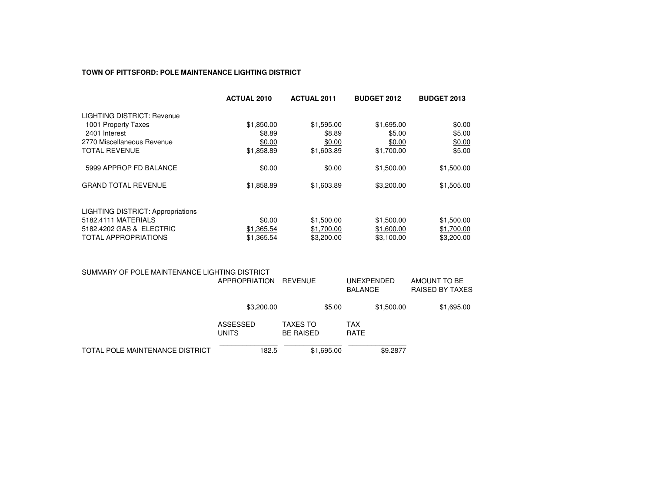## **TOWN OF PITTSFORD: POLE MAINTENANCE LIGHTING DISTRICT**

|                                          | <b>ACTUAL 2010</b> | <b>ACTUAL 2011</b> | <b>BUDGET 2012</b> | <b>BUDGET 2013</b> |
|------------------------------------------|--------------------|--------------------|--------------------|--------------------|
| LIGHTING DISTRICT: Revenue               |                    |                    |                    |                    |
| 1001 Property Taxes                      | \$1,850.00         | \$1,595.00         | \$1,695.00         | \$0.00             |
| 2401 Interest                            | \$8.89             | \$8.89             | \$5.00             | \$5.00             |
| 2770 Miscellaneous Revenue               | \$0.00             | \$0.00             | \$0.00             | \$0.00             |
| <b>TOTAL REVENUE</b>                     | \$1,858.89         | \$1,603.89         | \$1,700.00         | \$5.00             |
| 5999 APPROP FD BALANCE                   | \$0.00             | \$0.00             | \$1,500.00         | \$1,500.00         |
| <b>GRAND TOTAL REVENUE</b>               | \$1,858.89         | \$1,603.89         | \$3,200.00         | \$1,505.00         |
| <b>LIGHTING DISTRICT: Appropriations</b> |                    |                    |                    |                    |
| 5182.4111 MATERIALS                      | \$0.00             | \$1,500.00         | \$1,500.00         | \$1,500.00         |
| 5182.4202 GAS & ELECTRIC                 | \$1,365.54         | \$1,700.00         | \$1,600.00         | \$1,700.00         |
| <b>TOTAL APPROPRIATIONS</b>              | \$1,365.54         | \$3,200,00         | \$3.100.00         | \$3,200,00         |

| SUMMARY OF POLE MAINTENANCE LIGHTING DISTRICT | <b>APPROPRIATION</b>     |            | <b>REVENUE</b>                      |            | UNEXPENDED<br><b>BALANCE</b> |            | AMOUNT TO BE<br>RAISED BY TAXES |
|-----------------------------------------------|--------------------------|------------|-------------------------------------|------------|------------------------------|------------|---------------------------------|
|                                               |                          | \$3,200.00 |                                     | \$5.00     |                              | \$1,500.00 | \$1,695.00                      |
|                                               | ASSESSED<br><b>UNITS</b> |            | <b>TAXES TO</b><br><b>BE RAISED</b> |            | TAX<br><b>RATE</b>           |            |                                 |
| TOTAL POLE MAINTENANCE DISTRICT               |                          | 182.5      |                                     | \$1,695.00 |                              | \$9.2877   |                                 |